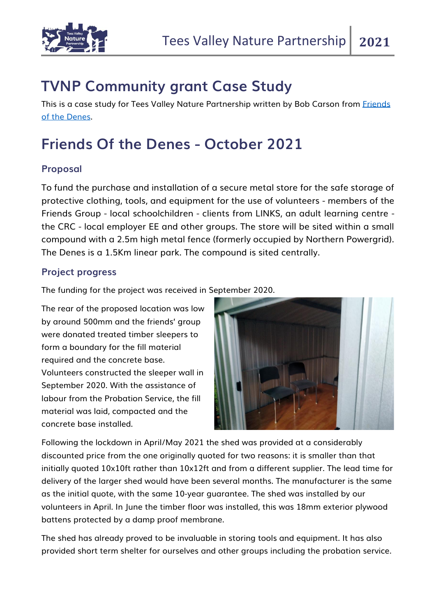

## **TVNP Community grant Case Study**

This is a case study for Tees Valley Nature Partnership written by Bob Carson from Friends [of the Denes.](https://www.facebook.com/friendsofthedenes/)

## **Friends Of the Denes - October 2021**

## **Proposal**

To fund the purchase and installation of a secure metal store for the safe storage of protective clothing, tools, and equipment for the use of volunteers - members of the Friends Group - local schoolchildren - clients from LINKS, an adult learning centre the CRC - local employer EE and other groups. The store will be sited within a small compound with a 2.5m high metal fence (formerly occupied by Northern Powergrid). The Denes is a 1.5Km linear park. The compound is sited centrally.

## **Project progress**

The funding for the project was received in September 2020.

The rear of the proposed location was low by around 500mm and the friends' group were donated treated timber sleepers to form a boundary for the fill material required and the concrete base. Volunteers constructed the sleeper wall in September 2020. With the assistance of labour from the Probation Service, the fill material was laid, compacted and the concrete base installed.



Following the lockdown in April/May 2021 the shed was provided at a considerably discounted price from the one originally quoted for two reasons: it is smaller than that initially quoted 10x10ft rather than 10x12ft and from a different supplier. The lead time for delivery of the larger shed would have been several months. The manufacturer is the same as the initial quote, with the same 10-year guarantee. The shed was installed by our volunteers in April. In June the timber floor was installed, this was 18mm exterior plywood battens protected by a damp proof membrane.

The shed has already proved to be invaluable in storing tools and equipment. It has also provided short term shelter for ourselves and other groups including the probation service.